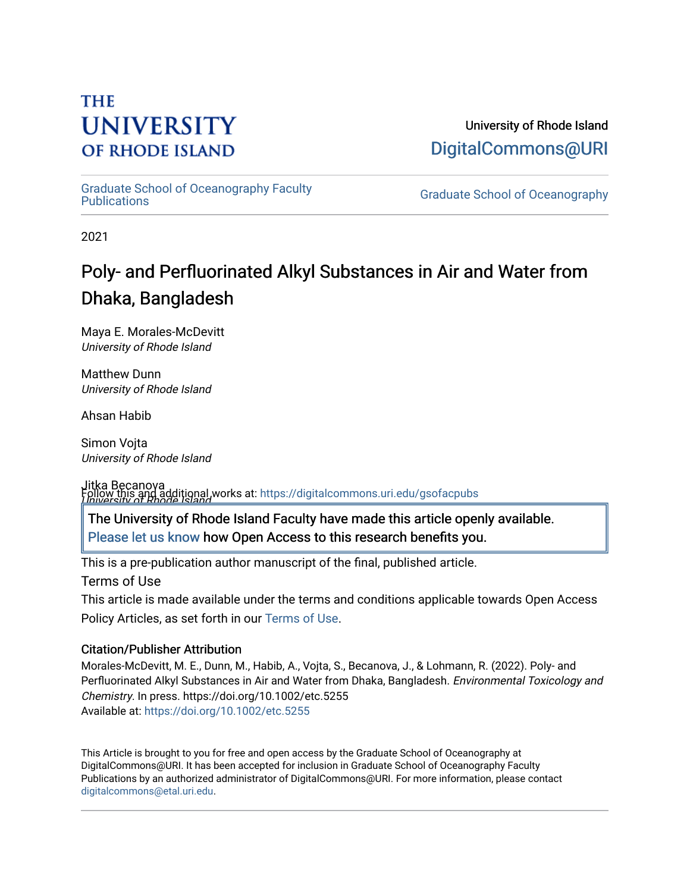## **THE UNIVERSITY OF RHODE ISLAND**

University of Rhode Island [DigitalCommons@URI](https://digitalcommons.uri.edu/) 

[Graduate School of Oceanography Faculty](https://digitalcommons.uri.edu/gsofacpubs) 

**Graduate School of Oceanography** 

2021

# Poly- and Perfluorinated Alkyl Substances in Air and Water from Dhaka, Bangladesh

Maya E. Morales-McDevitt University of Rhode Island

Matthew Dunn University of Rhode Island

Ahsan Habib

Simon Vojta University of Rhode Island

Jitka Becanova Follow this and additional works at: https://digitalcommons.uri.edu/gsofacpubs<br>I Iniversity of Rhode Island

[Please let us know](http://web.uri.edu/library-digital-initiatives/open-access-online-form/) how Open Access to this research benefits you. The University of Rhode Island Faculty have made this article openly available.

This is a pre-publication author manuscript of the final, published article.

Terms of Use

This article is made available under the terms and conditions applicable towards Open Access Policy Articles, as set forth in our [Terms of Use](https://digitalcommons.uri.edu/gsofacpubs/oa_policy_terms.html).

#### Citation/Publisher Attribution

Morales-McDevitt, M. E., Dunn, M., Habib, A., Vojta, S., Becanova, J., & Lohmann, R. (2022). Poly- and Perfluorinated Alkyl Substances in Air and Water from Dhaka, Bangladesh. Environmental Toxicology and Chemistry. In press. https://doi.org/10.1002/etc.5255 Available at:<https://doi.org/10.1002/etc.5255>

This Article is brought to you for free and open access by the Graduate School of Oceanography at DigitalCommons@URI. It has been accepted for inclusion in Graduate School of Oceanography Faculty Publications by an authorized administrator of DigitalCommons@URI. For more information, please contact [digitalcommons@etal.uri.edu](mailto:digitalcommons@etal.uri.edu).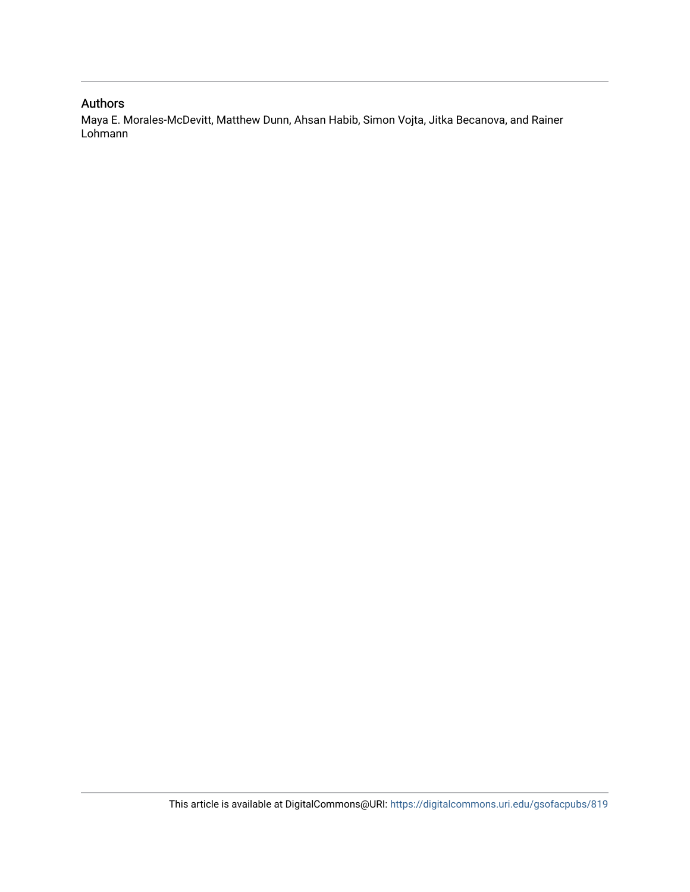#### Authors

Maya E. Morales-McDevitt, Matthew Dunn, Ahsan Habib, Simon Vojta, Jitka Becanova, and Rainer Lohmann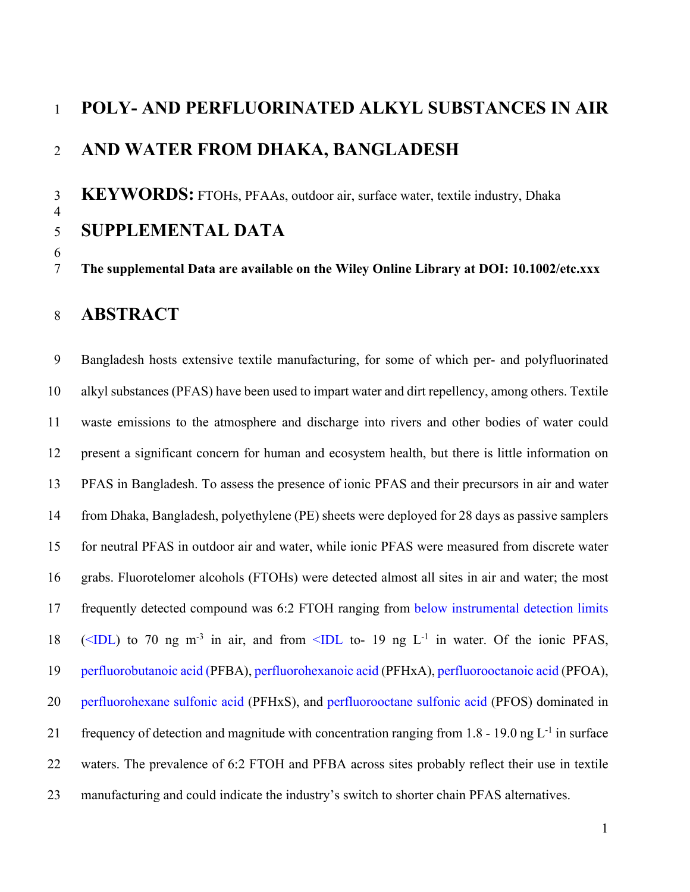# **POLY- AND PERFLUORINATED ALKYL SUBSTANCES IN AIR AND WATER FROM DHAKA, BANGLADESH**

 **KEYWORDS:** FTOHs, PFAAs, outdoor air, surface water, textile industry, Dhaka **SUPPLEMENTAL DATA** 

**The supplemental Data are available on the Wiley Online Library at DOI: 10.1002/etc.xxx**

## **ABSTRACT**

 Bangladesh hosts extensive textile manufacturing, for some of which per- and polyfluorinated alkyl substances (PFAS) have been used to impart water and dirt repellency, among others. Textile waste emissions to the atmosphere and discharge into rivers and other bodies of water could present a significant concern for human and ecosystem health, but there is little information on PFAS in Bangladesh. To assess the presence of ionic PFAS and their precursors in air and water from Dhaka, Bangladesh, polyethylene (PE) sheets were deployed for 28 days as passive samplers for neutral PFAS in outdoor air and water, while ionic PFAS were measured from discrete water grabs. Fluorotelomer alcohols (FTOHs) were detected almost all sites in air and water; the most frequently detected compound was 6:2 FTOH ranging from below instrumental detection limits 18 ( $\leq$ IDL) to 70 ng m<sup>-3</sup> in air, and from  $\leq$ IDL to- 19 ng L<sup>-1</sup> in water. Of the ionic PFAS, perfluorobutanoic acid (PFBA), perfluorohexanoic acid (PFHxA), perfluorooctanoic acid (PFOA), perfluorohexane sulfonic acid (PFHxS), and perfluorooctane sulfonic acid (PFOS) dominated in 21 frequency of detection and magnitude with concentration ranging from 1.8 - 19.0 ng  $L^{-1}$  in surface waters. The prevalence of 6:2 FTOH and PFBA across sites probably reflect their use in textile manufacturing and could indicate the industry's switch to shorter chain PFAS alternatives.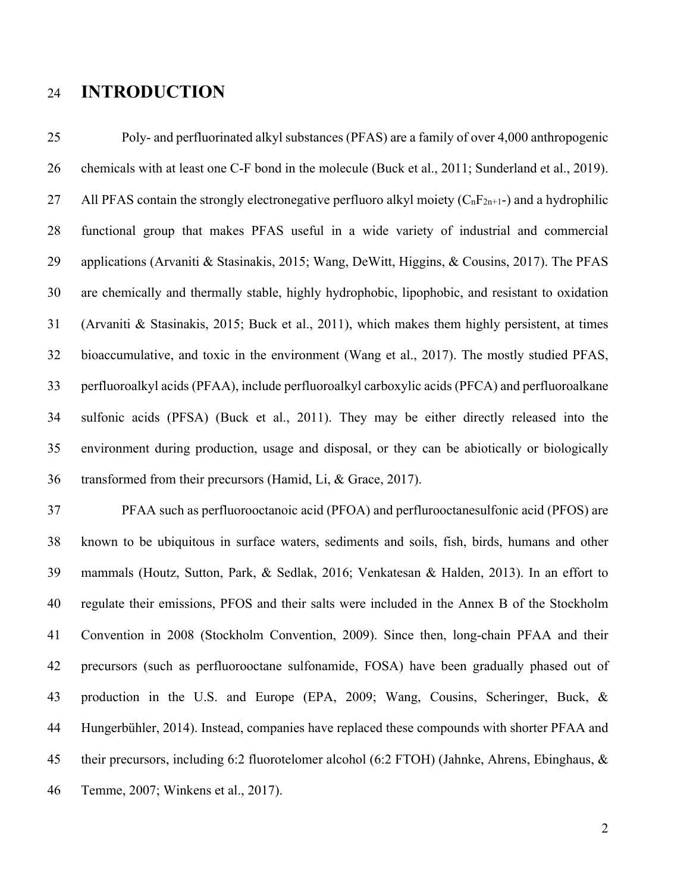## **INTRODUCTION**

 Poly- and perfluorinated alkyl substances (PFAS) are a family of over 4,000 anthropogenic chemicals with at least one C-F bond in the molecule (Buck et al., 2011; Sunderland et al., 2019). 27 All PFAS contain the strongly electronegative perfluoro alkyl moiety  $(C<sub>n</sub>F<sub>2n+1</sub>)$  and a hydrophilic functional group that makes PFAS useful in a wide variety of industrial and commercial applications (Arvaniti & Stasinakis, 2015; Wang, DeWitt, Higgins, & Cousins, 2017). The PFAS are chemically and thermally stable, highly hydrophobic, lipophobic, and resistant to oxidation (Arvaniti & Stasinakis, 2015; Buck et al., 2011), which makes them highly persistent, at times bioaccumulative, and toxic in the environment (Wang et al., 2017). The mostly studied PFAS, perfluoroalkyl acids (PFAA), include perfluoroalkyl carboxylic acids (PFCA) and perfluoroalkane sulfonic acids (PFSA) (Buck et al., 2011). They may be either directly released into the environment during production, usage and disposal, or they can be abiotically or biologically transformed from their precursors (Hamid, Li, & Grace, 2017).

 PFAA such as perfluorooctanoic acid (PFOA) and perflurooctanesulfonic acid (PFOS) are known to be ubiquitous in surface waters, sediments and soils, fish, birds, humans and other mammals (Houtz, Sutton, Park, & Sedlak, 2016; Venkatesan & Halden, 2013). In an effort to regulate their emissions, PFOS and their salts were included in the Annex B of the Stockholm Convention in 2008 (Stockholm Convention, 2009). Since then, long-chain PFAA and their precursors (such as perfluorooctane sulfonamide, FOSA) have been gradually phased out of production in the U.S. and Europe (EPA, 2009; Wang, Cousins, Scheringer, Buck, & Hungerbühler, 2014). Instead, companies have replaced these compounds with shorter PFAA and their precursors, including 6:2 fluorotelomer alcohol (6:2 FTOH) (Jahnke, Ahrens, Ebinghaus, & Temme, 2007; Winkens et al., 2017).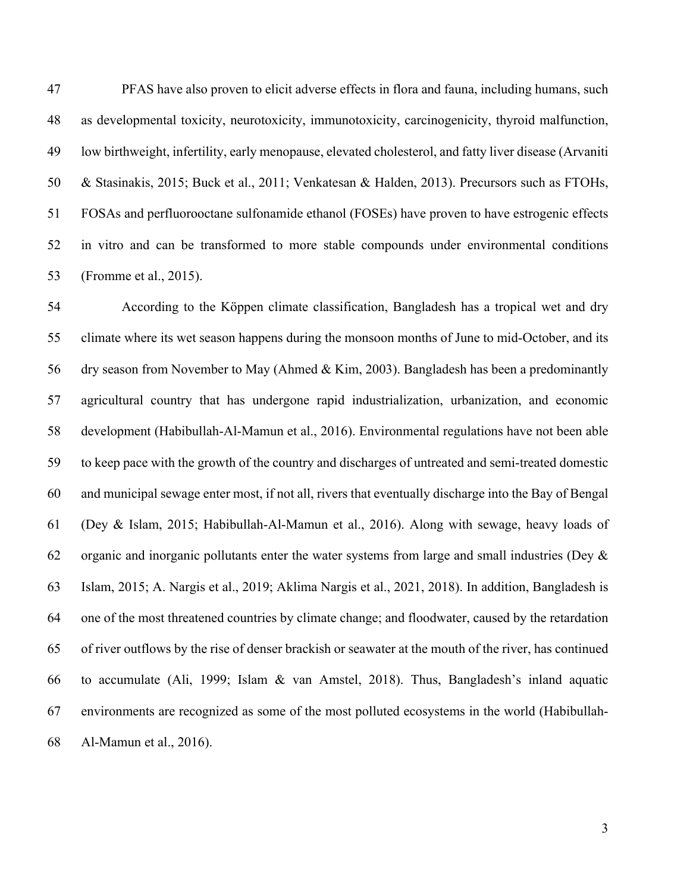PFAS have also proven to elicit adverse effects in flora and fauna, including humans, such as developmental toxicity, neurotoxicity, immunotoxicity, carcinogenicity, thyroid malfunction, low birthweight, infertility, early menopause, elevated cholesterol, and fatty liver disease (Arvaniti & Stasinakis, 2015; Buck et al., 2011; Venkatesan & Halden, 2013). Precursors such as FTOHs, FOSAs and perfluorooctane sulfonamide ethanol (FOSEs) have proven to have estrogenic effects in vitro and can be transformed to more stable compounds under environmental conditions (Fromme et al., 2015).

 According to the Köppen climate classification, Bangladesh has a tropical wet and dry climate where its wet season happens during the monsoon months of June to mid-October, and its dry season from November to May (Ahmed & Kim, 2003). Bangladesh has been a predominantly agricultural country that has undergone rapid industrialization, urbanization, and economic development (Habibullah-Al-Mamun et al., 2016). Environmental regulations have not been able to keep pace with the growth of the country and discharges of untreated and semi-treated domestic and municipal sewage enter most, if not all, rivers that eventually discharge into the Bay of Bengal (Dey & Islam, 2015; Habibullah-Al-Mamun et al., 2016). Along with sewage, heavy loads of 62 organic and inorganic pollutants enter the water systems from large and small industries (Dey  $\&$  Islam, 2015; A. Nargis et al., 2019; Aklima Nargis et al., 2021, 2018). In addition, Bangladesh is one of the most threatened countries by climate change; and floodwater, caused by the retardation of river outflows by the rise of denser brackish or seawater at the mouth of the river, has continued to accumulate (Ali, 1999; Islam & van Amstel, 2018). Thus, Bangladesh's inland aquatic environments are recognized as some of the most polluted ecosystems in the world (Habibullah-Al-Mamun et al., 2016).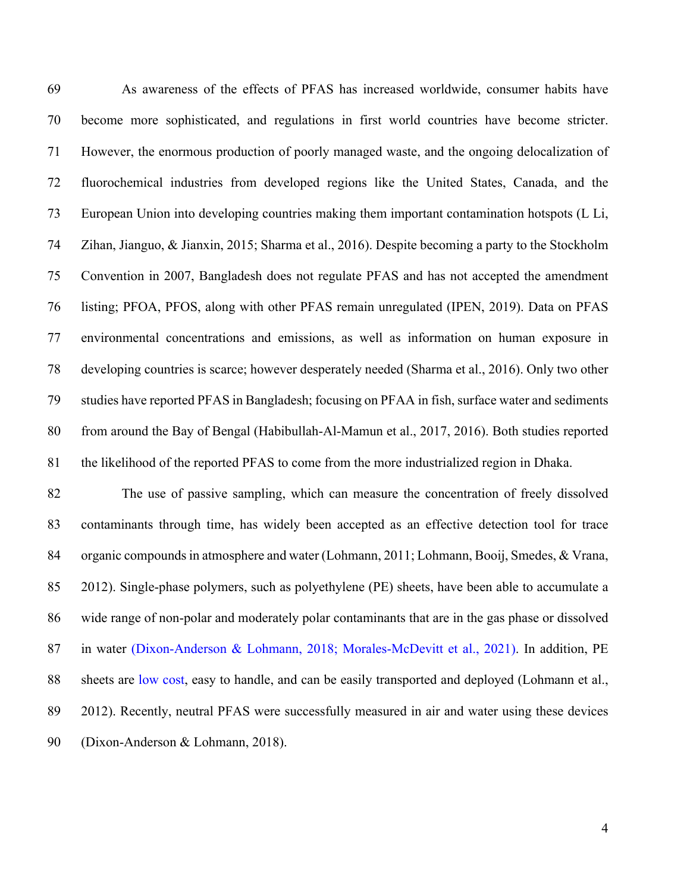As awareness of the effects of PFAS has increased worldwide, consumer habits have become more sophisticated, and regulations in first world countries have become stricter. However, the enormous production of poorly managed waste, and the ongoing delocalization of fluorochemical industries from developed regions like the United States, Canada, and the European Union into developing countries making them important contamination hotspots (L Li, Zihan, Jianguo, & Jianxin, 2015; Sharma et al., 2016). Despite becoming a party to the Stockholm Convention in 2007, Bangladesh does not regulate PFAS and has not accepted the amendment listing; PFOA, PFOS, along with other PFAS remain unregulated (IPEN, 2019). Data on PFAS environmental concentrations and emissions, as well as information on human exposure in developing countries is scarce; however desperately needed (Sharma et al., 2016). Only two other studies have reported PFAS in Bangladesh; focusing on PFAA in fish, surface water and sediments from around the Bay of Bengal (Habibullah-Al-Mamun et al., 2017, 2016). Both studies reported the likelihood of the reported PFAS to come from the more industrialized region in Dhaka.

 The use of passive sampling, which can measure the concentration of freely dissolved contaminants through time, has widely been accepted as an effective detection tool for trace organic compounds in atmosphere and water (Lohmann, 2011; Lohmann, Booij, Smedes, & Vrana, 2012). Single-phase polymers, such as polyethylene (PE) sheets, have been able to accumulate a wide range of non-polar and moderately polar contaminants that are in the gas phase or dissolved in water (Dixon-Anderson & Lohmann, 2018; Morales-McDevitt et al., 2021). In addition, PE sheets are low cost, easy to handle, and can be easily transported and deployed (Lohmann et al., 2012). Recently, neutral PFAS were successfully measured in air and water using these devices (Dixon-Anderson & Lohmann, 2018).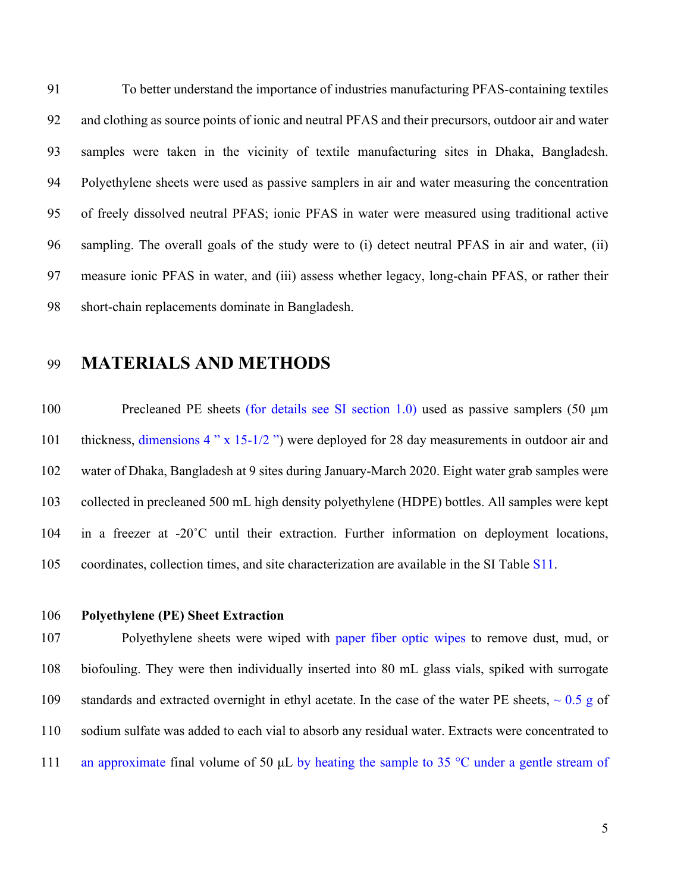To better understand the importance of industries manufacturing PFAS-containing textiles and clothing as source points of ionic and neutral PFAS and their precursors, outdoor air and water samples were taken in the vicinity of textile manufacturing sites in Dhaka, Bangladesh. Polyethylene sheets were used as passive samplers in air and water measuring the concentration of freely dissolved neutral PFAS; ionic PFAS in water were measured using traditional active sampling. The overall goals of the study were to (i) detect neutral PFAS in air and water, (ii) measure ionic PFAS in water, and (iii) assess whether legacy, long-chain PFAS, or rather their short-chain replacements dominate in Bangladesh.

## **MATERIALS AND METHODS**

 Precleaned PE sheets (for details see SI section 1.0) used as passive samplers (50 μm 101 thickness, dimensions 4 " x 15-1/2 ") were deployed for 28 day measurements in outdoor air and water of Dhaka, Bangladesh at 9 sites during January-March 2020. Eight water grab samples were collected in precleaned 500 mL high density polyethylene (HDPE) bottles. All samples were kept in a freezer at -20˚C until their extraction. Further information on deployment locations, coordinates, collection times, and site characterization are available in the SI Table S11.

#### **Polyethylene (PE) Sheet Extraction**

 Polyethylene sheets were wiped with paper fiber optic wipes to remove dust, mud, or biofouling. They were then individually inserted into 80 mL glass vials, spiked with surrogate 109 standards and extracted overnight in ethyl acetate. In the case of the water PE sheets,  $\sim 0.5$  g of sodium sulfate was added to each vial to absorb any residual water. Extracts were concentrated to 111 an approximate final volume of 50  $\mu$ L by heating the sample to 35 °C under a gentle stream of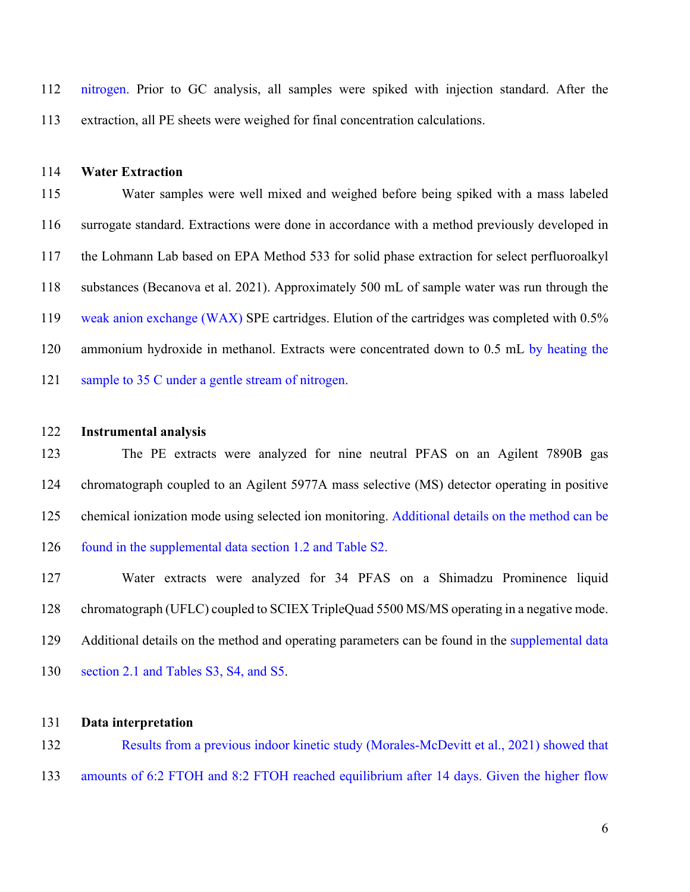nitrogen. Prior to GC analysis, all samples were spiked with injection standard. After the extraction, all PE sheets were weighed for final concentration calculations.

#### **Water Extraction**

 Water samples were well mixed and weighed before being spiked with a mass labeled surrogate standard. Extractions were done in accordance with a method previously developed in the Lohmann Lab based on EPA Method 533 for solid phase extraction for select perfluoroalkyl substances (Becanova et al. 2021). Approximately 500 mL of sample water was run through the weak anion exchange (WAX) SPE cartridges. Elution of the cartridges was completed with 0.5% 120 ammonium hydroxide in methanol. Extracts were concentrated down to 0.5 mL by heating the 121 sample to 35 C under a gentle stream of nitrogen.

#### **Instrumental analysis**

 The PE extracts were analyzed for nine neutral PFAS on an Agilent 7890B gas chromatograph coupled to an Agilent 5977A mass selective (MS) detector operating in positive chemical ionization mode using selected ion monitoring. Additional details on the method can be found in the supplemental data section 1.2 and Table S2.

 Water extracts were analyzed for 34 PFAS on a Shimadzu Prominence liquid chromatograph (UFLC) coupled to SCIEX TripleQuad 5500 MS/MS operating in a negative mode. 129 Additional details on the method and operating parameters can be found in the supplemental data section 2.1 and Tables S3, S4, and S5.

#### **Data interpretation**

 Results from a previous indoor kinetic study (Morales-McDevitt et al., 2021) showed that amounts of 6:2 FTOH and 8:2 FTOH reached equilibrium after 14 days. Given the higher flow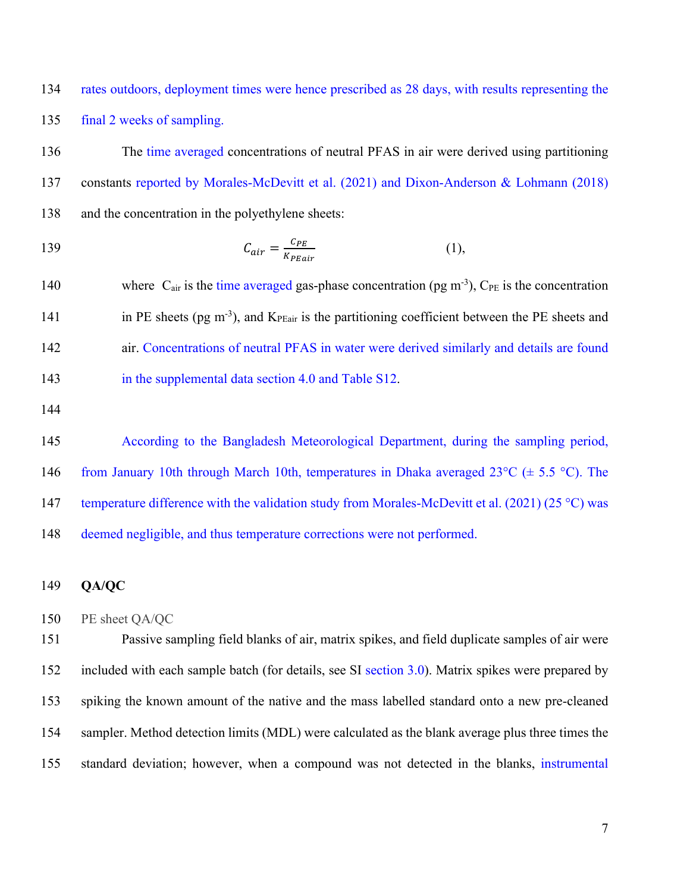rates outdoors, deployment times were hence prescribed as 28 days, with results representing the final 2 weeks of sampling.

 The time averaged concentrations of neutral PFAS in air were derived using partitioning constants reported by Morales-McDevitt et al. (2021) and Dixon-Anderson & Lohmann (2018) and the concentration in the polyethylene sheets:

$$
C_{air} = \frac{C_{PE}}{K_{PEair}} \tag{1}
$$

140 where  $C_{air}$  is the time averaged gas-phase concentration (pg m<sup>-3</sup>),  $C_{PE}$  is the concentration 141 in PE sheets (pg m<sup>-3</sup>), and  $K_{\text{PEair}}$  is the partitioning coefficient between the PE sheets and air. Concentrations of neutral PFAS in water were derived similarly and details are found 143 in the supplemental data section 4.0 and Table S12.

 According to the Bangladesh Meteorological Department, during the sampling period, 146 from January 10th through March 10th, temperatures in Dhaka averaged 23 $^{\circ}$ C ( $\pm$  5.5  $^{\circ}$ C). The 147 temperature difference with the validation study from Morales-McDevitt et al. (2021) (25 °C) was deemed negligible, and thus temperature corrections were not performed.

#### **QA/QC**

```
150 PE sheet QA/QC
```
 Passive sampling field blanks of air, matrix spikes, and field duplicate samples of air were included with each sample batch (for details, see SI section 3.0). Matrix spikes were prepared by spiking the known amount of the native and the mass labelled standard onto a new pre-cleaned sampler. Method detection limits (MDL) were calculated as the blank average plus three times the standard deviation; however, when a compound was not detected in the blanks, instrumental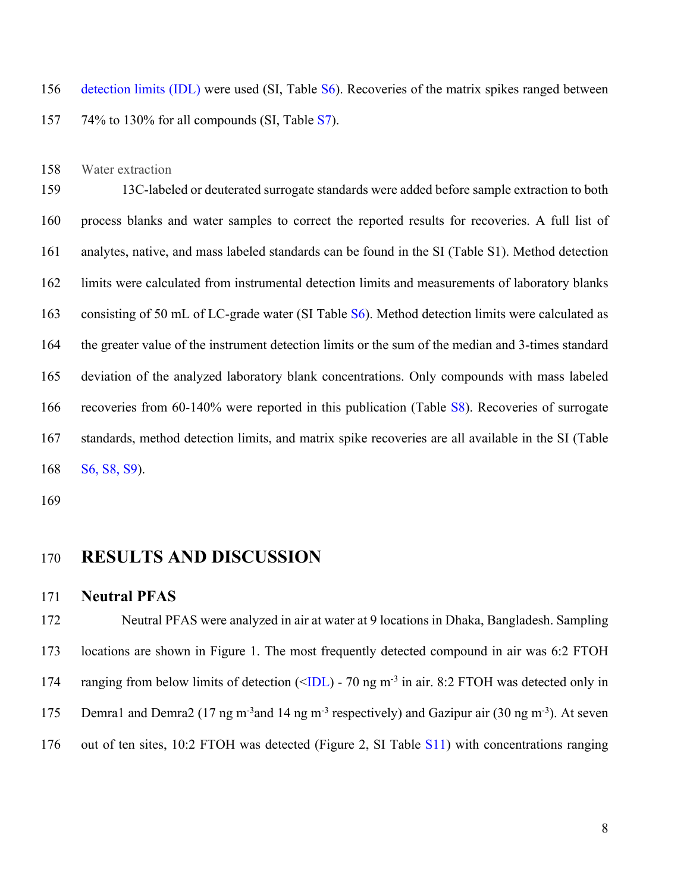detection limits (IDL) were used (SI, Table S6). Recoveries of the matrix spikes ranged between 74% to 130% for all compounds (SI, Table S7).

Water extraction

 13C-labeled or deuterated surrogate standards were added before sample extraction to both process blanks and water samples to correct the reported results for recoveries. A full list of analytes, native, and mass labeled standards can be found in the SI (Table S1). Method detection limits were calculated from instrumental detection limits and measurements of laboratory blanks consisting of 50 mL of LC-grade water (SI Table S6). Method detection limits were calculated as the greater value of the instrument detection limits or the sum of the median and 3-times standard deviation of the analyzed laboratory blank concentrations. Only compounds with mass labeled 166 recoveries from 60-140% were reported in this publication (Table S8). Recoveries of surrogate standards, method detection limits, and matrix spike recoveries are all available in the SI (Table S6, S8, S9).

## **RESULTS AND DISCUSSION**

#### **Neutral PFAS**

 Neutral PFAS were analyzed in air at water at 9 locations in Dhaka, Bangladesh. Sampling locations are shown in Figure 1. The most frequently detected compound in air was 6:2 FTOH 174 ranging from below limits of detection  $(\angle IDL)$  - 70 ng m<sup>-3</sup> in air. 8:2 FTOH was detected only in 175 Demra1 and Demra2 (17 ng m<sup>-3</sup> and 14 ng m<sup>-3</sup> respectively) and Gazipur air (30 ng m<sup>-3</sup>). At seven out of ten sites, 10:2 FTOH was detected (Figure 2, SI Table S11) with concentrations ranging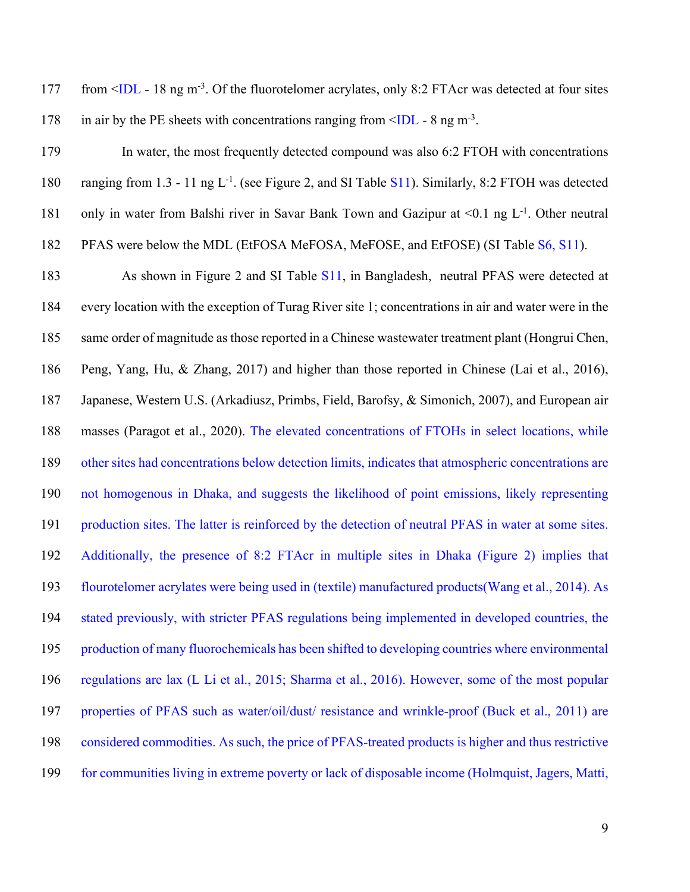177 from  $\leq$ IDL - 18 ng m<sup>-3</sup>. Of the fluorotelomer acrylates, only 8:2 FTAcr was detected at four sites 178 in air by the PE sheets with concentrations ranging from  $\leq$ IDL - 8 ng m<sup>-3</sup>.

 In water, the most frequently detected compound was also 6:2 FTOH with concentrations 180 ranging from 1.3 - 11 ng  $L^{-1}$ . (see Figure 2, and SI Table S11). Similarly, 8:2 FTOH was detected 181 only in water from Balshi river in Savar Bank Town and Gazipur at  $\leq 0.1$  ng L<sup>-1</sup>. Other neutral PFAS were below the MDL (EtFOSA MeFOSA, MeFOSE, and EtFOSE) (SI Table S6, S11).

 As shown in Figure 2 and SI Table S11, in Bangladesh, neutral PFAS were detected at every location with the exception of Turag River site 1; concentrations in air and water were in the same order of magnitude as those reported in a Chinese wastewater treatment plant (Hongrui Chen, Peng, Yang, Hu, & Zhang, 2017) and higher than those reported in Chinese (Lai et al., 2016), Japanese, Western U.S. (Arkadiusz, Primbs, Field, Barofsy, & Simonich, 2007), and European air masses (Paragot et al., 2020). The elevated concentrations of FTOHs in select locations, while other sites had concentrations below detection limits, indicates that atmospheric concentrations are not homogenous in Dhaka, and suggests the likelihood of point emissions, likely representing production sites. The latter is reinforced by the detection of neutral PFAS in water at some sites. Additionally, the presence of 8:2 FTAcr in multiple sites in Dhaka (Figure 2) implies that flourotelomer acrylates were being used in (textile) manufactured products(Wang et al., 2014). As stated previously, with stricter PFAS regulations being implemented in developed countries, the production of many fluorochemicals has been shifted to developing countries where environmental regulations are lax (L Li et al., 2015; Sharma et al., 2016). However, some of the most popular properties of PFAS such as water/oil/dust/ resistance and wrinkle-proof (Buck et al., 2011) are considered commodities. As such, the price of PFAS-treated products is higher and thus restrictive for communities living in extreme poverty or lack of disposable income (Holmquist, Jagers, Matti,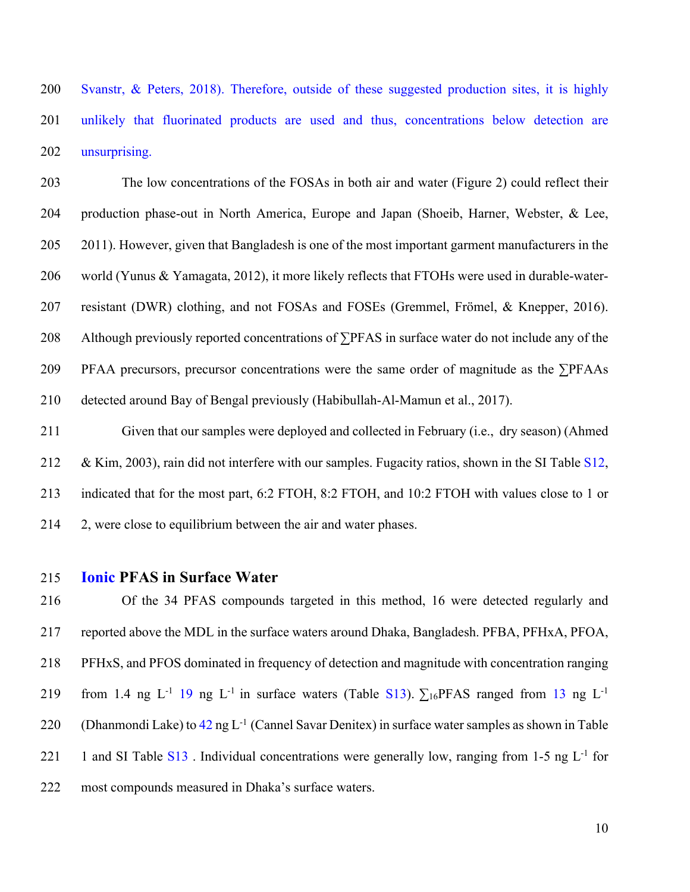Svanstr, & Peters, 2018). Therefore, outside of these suggested production sites, it is highly 201 unlikely that fluorinated products are used and thus, concentrations below detection are unsurprising.

 The low concentrations of the FOSAs in both air and water (Figure 2) could reflect their production phase-out in North America, Europe and Japan (Shoeib, Harner, Webster, & Lee, 2011). However, given that Bangladesh is one of the most important garment manufacturers in the world (Yunus & Yamagata, 2012), it more likely reflects that FTOHs were used in durable-water- resistant (DWR) clothing, and not FOSAs and FOSEs (Gremmel, Frömel, & Knepper, 2016). Although previously reported concentrations of ∑PFAS in surface water do not include any of the PFAA precursors, precursor concentrations were the same order of magnitude as the ∑PFAAs detected around Bay of Bengal previously (Habibullah-Al-Mamun et al., 2017).

 Given that our samples were deployed and collected in February (i.e., dry season) (Ahmed 212 & Kim, 2003), rain did not interfere with our samples. Fugacity ratios, shown in the SI Table S12, indicated that for the most part, 6:2 FTOH, 8:2 FTOH, and 10:2 FTOH with values close to 1 or 2, were close to equilibrium between the air and water phases.

#### **Ionic PFAS in Surface Water**

 Of the 34 PFAS compounds targeted in this method, 16 were detected regularly and reported above the MDL in the surface waters around Dhaka, Bangladesh. PFBA, PFHxA, PFOA, PFHxS, and PFOS dominated in frequency of detection and magnitude with concentration ranging 219 from 1.4 ng L<sup>-1</sup> 19 ng L<sup>-1</sup> in surface waters (Table S13).  $\Sigma_{16}$ PFAS ranged from 13 ng L<sup>-1</sup> 220 (Dhanmondi Lake) to ng L<sup>-1</sup> (Cannel Savar Denitex) in surface water samples as shown in Table 221 1 and SI Table  $S13$ . Individual concentrations were generally low, ranging from 1-5 ng  $L^{-1}$  for most compounds measured in Dhaka's surface waters.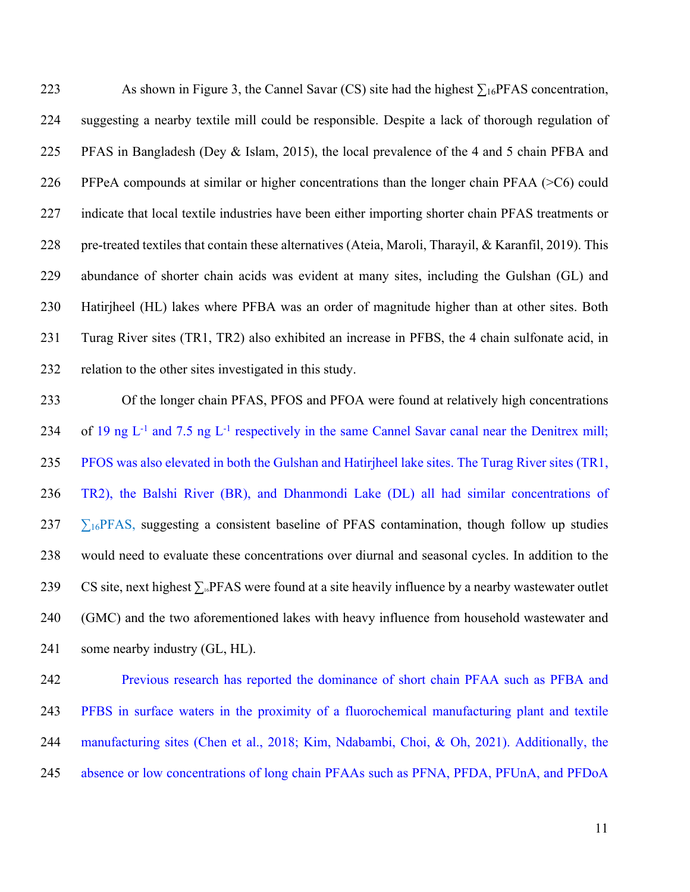223 As shown in Figure 3, the Cannel Savar (CS) site had the highest  $\sum_{16}$ PFAS concentration, suggesting a nearby textile mill could be responsible. Despite a lack of thorough regulation of PFAS in Bangladesh (Dey & Islam, 2015), the local prevalence of the 4 and 5 chain PFBA and PFPeA compounds at similar or higher concentrations than the longer chain PFAA (>C6) could indicate that local textile industries have been either importing shorter chain PFAS treatments or 228 pre-treated textiles that contain these alternatives (Ateia, Maroli, Tharayil, & Karanfil, 2019). This abundance of shorter chain acids was evident at many sites, including the Gulshan (GL) and Hatirjheel (HL) lakes where PFBA was an order of magnitude higher than at other sites. Both Turag River sites (TR1, TR2) also exhibited an increase in PFBS, the 4 chain sulfonate acid, in relation to the other sites investigated in this study.

 Of the longer chain PFAS, PFOS and PFOA were found at relatively high concentrations 234 of 19 ng  $L^{-1}$  and 7.5 ng  $L^{-1}$  respectively in the same Cannel Savar canal near the Denitrex mill; PFOS was also elevated in both the Gulshan and Hatirjheel lake sites. The Turag River sites (TR1, TR2), the Balshi River (BR), and Dhanmondi Lake (DL) all had similar concentrations of  $237\quad \Sigma_{16}$ PFAS, suggesting a consistent baseline of PFAS contamination, though follow up studies would need to evaluate these concentrations over diurnal and seasonal cycles. In addition to the 239 CS site, next highest  $\sum_{i}$  PFAS were found at a site heavily influence by a nearby wastewater outlet (GMC) and the two aforementioned lakes with heavy influence from household wastewater and some nearby industry (GL, HL).

 Previous research has reported the dominance of short chain PFAA such as PFBA and PFBS in surface waters in the proximity of a fluorochemical manufacturing plant and textile manufacturing sites (Chen et al., 2018; Kim, Ndabambi, Choi, & Oh, 2021). Additionally, the absence or low concentrations of long chain PFAAs such as PFNA, PFDA, PFUnA, and PFDoA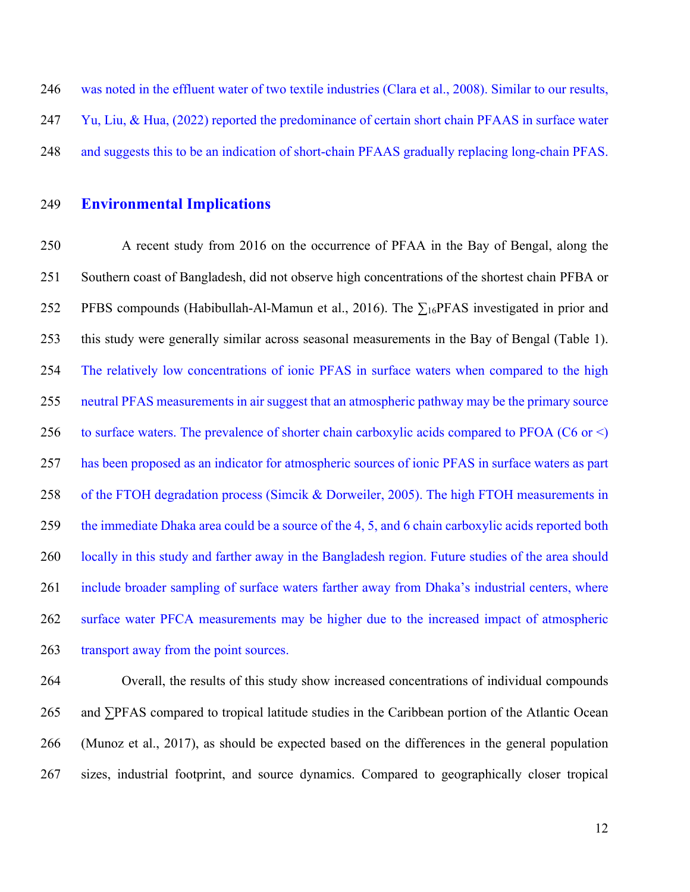was noted in the effluent water of two textile industries (Clara et al., 2008). Similar to our results, Yu, Liu, & Hua, (2022) reported the predominance of certain short chain PFAAS in surface water and suggests this to be an indication of short-chain PFAAS gradually replacing long-chain PFAS.

### **Environmental Implications**

 A recent study from 2016 on the occurrence of PFAA in the Bay of Bengal, along the Southern coast of Bangladesh, did not observe high concentrations of the shortest chain PFBA or 252 PFBS compounds (Habibullah-Al-Mamun et al., 2016). The  $\Sigma_{16}$ PFAS investigated in prior and this study were generally similar across seasonal measurements in the Bay of Bengal (Table 1). The relatively low concentrations of ionic PFAS in surface waters when compared to the high neutral PFAS measurements in air suggest that an atmospheric pathway may be the primary source 256 to surface waters. The prevalence of shorter chain carboxylic acids compared to PFOA ( $C6$  or  $\leq$ ) has been proposed as an indicator for atmospheric sources of ionic PFAS in surface waters as part 258 of the FTOH degradation process (Simcik & Dorweiler, 2005). The high FTOH measurements in the immediate Dhaka area could be a source of the 4, 5, and 6 chain carboxylic acids reported both locally in this study and farther away in the Bangladesh region. Future studies of the area should include broader sampling of surface waters farther away from Dhaka's industrial centers, where surface water PFCA measurements may be higher due to the increased impact of atmospheric 263 transport away from the point sources.

 Overall, the results of this study show increased concentrations of individual compounds and ∑PFAS compared to tropical latitude studies in the Caribbean portion of the Atlantic Ocean (Munoz et al., 2017), as should be expected based on the differences in the general population sizes, industrial footprint, and source dynamics. Compared to geographically closer tropical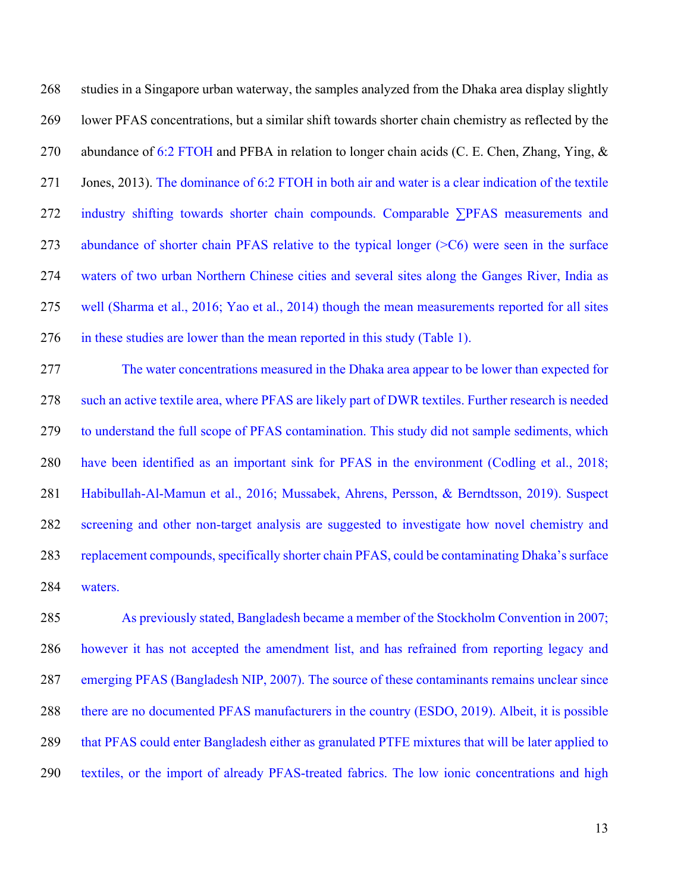studies in a Singapore urban waterway, the samples analyzed from the Dhaka area display slightly lower PFAS concentrations, but a similar shift towards shorter chain chemistry as reflected by the 270 abundance of 6:2 FTOH and PFBA in relation to longer chain acids (C. E. Chen, Zhang, Ying, & Jones, 2013). The dominance of 6:2 FTOH in both air and water is a clear indication of the textile industry shifting towards shorter chain compounds. Comparable ∑PFAS measurements and abundance of shorter chain PFAS relative to the typical longer (>C6) were seen in the surface waters of two urban Northern Chinese cities and several sites along the Ganges River, India as well (Sharma et al., 2016; Yao et al., 2014) though the mean measurements reported for all sites in these studies are lower than the mean reported in this study (Table 1).

 The water concentrations measured in the Dhaka area appear to be lower than expected for such an active textile area, where PFAS are likely part of DWR textiles. Further research is needed to understand the full scope of PFAS contamination. This study did not sample sediments, which have been identified as an important sink for PFAS in the environment (Codling et al., 2018; Habibullah-Al-Mamun et al., 2016; Mussabek, Ahrens, Persson, & Berndtsson, 2019). Suspect screening and other non-target analysis are suggested to investigate how novel chemistry and replacement compounds, specifically shorter chain PFAS, could be contaminating Dhaka's surface waters.

 As previously stated, Bangladesh became a member of the Stockholm Convention in 2007; however it has not accepted the amendment list, and has refrained from reporting legacy and emerging PFAS (Bangladesh NIP, 2007). The source of these contaminants remains unclear since there are no documented PFAS manufacturers in the country (ESDO, 2019). Albeit, it is possible that PFAS could enter Bangladesh either as granulated PTFE mixtures that will be later applied to textiles, or the import of already PFAS-treated fabrics. The low ionic concentrations and high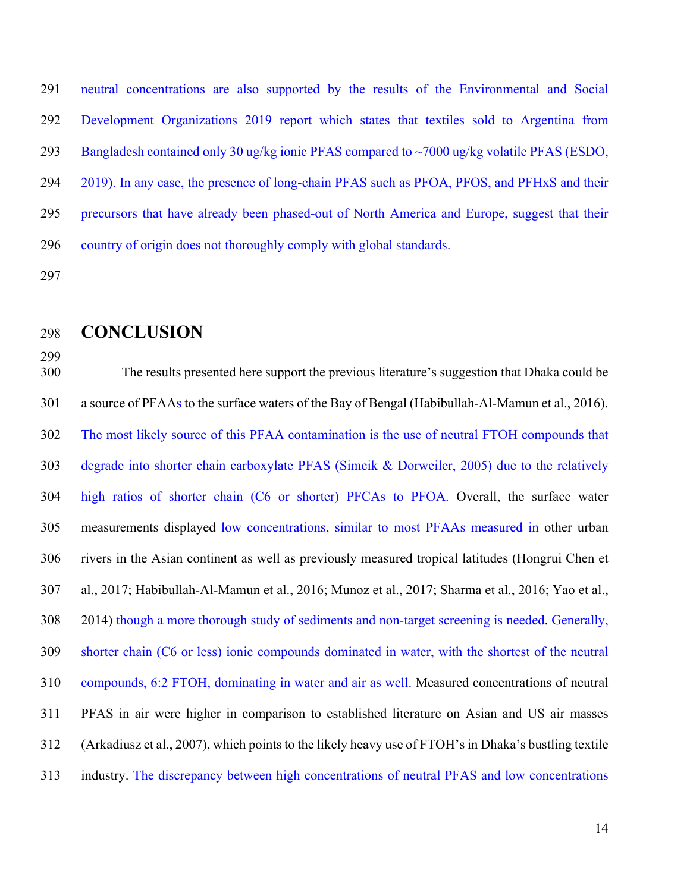neutral concentrations are also supported by the results of the Environmental and Social Development Organizations 2019 report which states that textiles sold to Argentina from Bangladesh contained only 30 ug/kg ionic PFAS compared to ~7000 ug/kg volatile PFAS (ESDO, 2019). In any case, the presence of long-chain PFAS such as PFOA, PFOS, and PFHxS and their precursors that have already been phased-out of North America and Europe, suggest that their country of origin does not thoroughly comply with global standards.

## **CONCLUSION**

 The results presented here support the previous literature's suggestion that Dhaka could be a source of PFAAs to the surface waters of the Bay of Bengal (Habibullah-Al-Mamun et al., 2016). The most likely source of this PFAA contamination is the use of neutral FTOH compounds that degrade into shorter chain carboxylate PFAS (Simcik & Dorweiler, 2005) due to the relatively high ratios of shorter chain (C6 or shorter) PFCAs to PFOA. Overall, the surface water measurements displayed low concentrations, similar to most PFAAs measured in other urban rivers in the Asian continent as well as previously measured tropical latitudes (Hongrui Chen et al., 2017; Habibullah-Al-Mamun et al., 2016; Munoz et al., 2017; Sharma et al., 2016; Yao et al., 2014) though a more thorough study of sediments and non-target screening is needed. Generally, shorter chain (C6 or less) ionic compounds dominated in water, with the shortest of the neutral compounds, 6:2 FTOH, dominating in water and air as well. Measured concentrations of neutral PFAS in air were higher in comparison to established literature on Asian and US air masses (Arkadiusz et al., 2007), which points to the likely heavy use of FTOH's in Dhaka's bustling textile industry. The discrepancy between high concentrations of neutral PFAS and low concentrations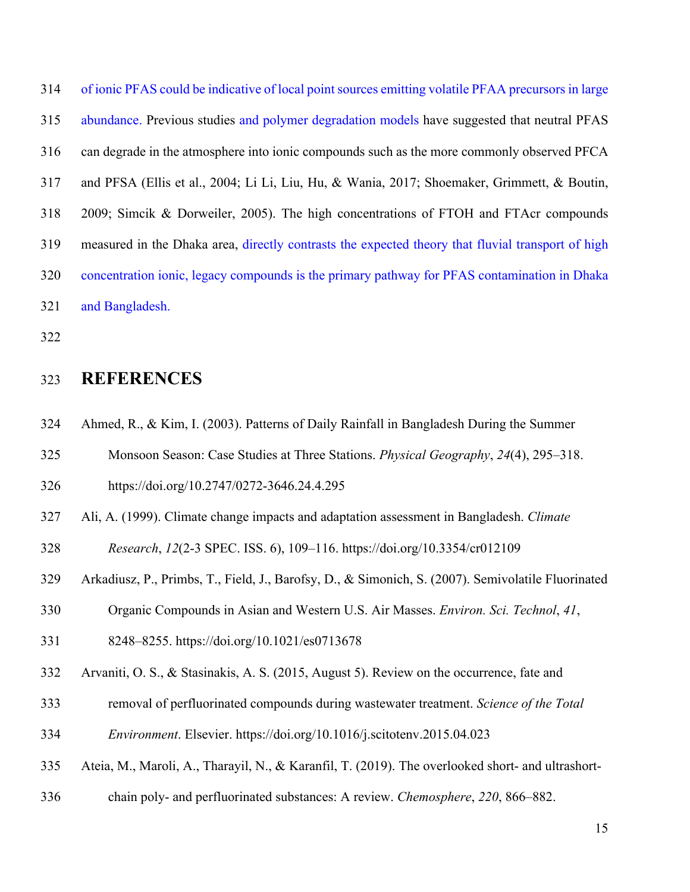of ionic PFAS could be indicative of local point sources emitting volatile PFAA precursors in large abundance. Previous studies and polymer degradation models have suggested that neutral PFAS can degrade in the atmosphere into ionic compounds such as the more commonly observed PFCA and PFSA (Ellis et al., 2004; Li Li, Liu, Hu, & Wania, 2017; Shoemaker, Grimmett, & Boutin, 2009; Simcik & Dorweiler, 2005). The high concentrations of FTOH and FTAcr compounds measured in the Dhaka area, directly contrasts the expected theory that fluvial transport of high concentration ionic, legacy compounds is the primary pathway for PFAS contamination in Dhaka and Bangladesh.

## **REFERENCES**

- Ahmed, R., & Kim, I. (2003). Patterns of Daily Rainfall in Bangladesh During the Summer
- Monsoon Season: Case Studies at Three Stations. *Physical Geography*, *24*(4), 295–318.

https://doi.org/10.2747/0272-3646.24.4.295

Ali, A. (1999). Climate change impacts and adaptation assessment in Bangladesh. *Climate* 

*Research*, *12*(2-3 SPEC. ISS. 6), 109–116. https://doi.org/10.3354/cr012109

- Arkadiusz, P., Primbs, T., Field, J., Barofsy, D., & Simonich, S. (2007). Semivolatile Fluorinated
- Organic Compounds in Asian and Western U.S. Air Masses. *Environ. Sci. Technol*, *41*,
- 8248–8255. https://doi.org/10.1021/es0713678
- Arvaniti, O. S., & Stasinakis, A. S. (2015, August 5). Review on the occurrence, fate and
- removal of perfluorinated compounds during wastewater treatment. *Science of the Total*
- *Environment*. Elsevier. https://doi.org/10.1016/j.scitotenv.2015.04.023
- Ateia, M., Maroli, A., Tharayil, N., & Karanfil, T. (2019). The overlooked short- and ultrashort-
- chain poly- and perfluorinated substances: A review. *Chemosphere*, *220*, 866–882.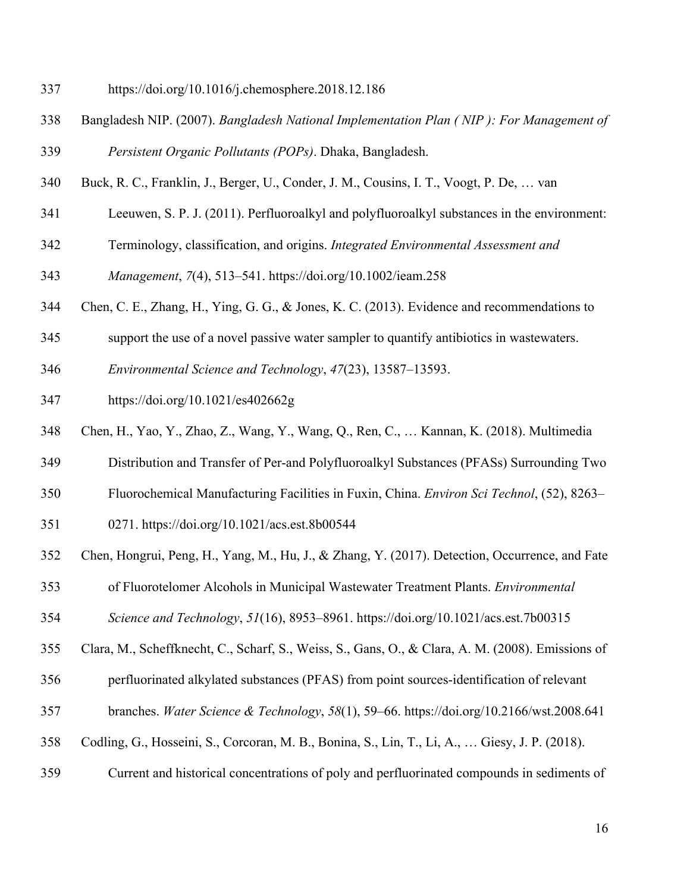- https://doi.org/10.1016/j.chemosphere.2018.12.186
- Bangladesh NIP. (2007). *Bangladesh National Implementation Plan ( NIP ): For Management of Persistent Organic Pollutants (POPs)*. Dhaka, Bangladesh.
- Buck, R. C., Franklin, J., Berger, U., Conder, J. M., Cousins, I. T., Voogt, P. De, … van
- Leeuwen, S. P. J. (2011). Perfluoroalkyl and polyfluoroalkyl substances in the environment:
- Terminology, classification, and origins. *Integrated Environmental Assessment and*
- *Management*, *7*(4), 513–541. https://doi.org/10.1002/ieam.258
- Chen, C. E., Zhang, H., Ying, G. G., & Jones, K. C. (2013). Evidence and recommendations to
- support the use of a novel passive water sampler to quantify antibiotics in wastewaters.
- *Environmental Science and Technology*, *47*(23), 13587–13593.
- https://doi.org/10.1021/es402662g
- Chen, H., Yao, Y., Zhao, Z., Wang, Y., Wang, Q., Ren, C., … Kannan, K. (2018). Multimedia
- Distribution and Transfer of Per-and Polyfluoroalkyl Substances (PFASs) Surrounding Two
- Fluorochemical Manufacturing Facilities in Fuxin, China. *Environ Sci Technol*, (52), 8263–
- 0271. https://doi.org/10.1021/acs.est.8b00544
- Chen, Hongrui, Peng, H., Yang, M., Hu, J., & Zhang, Y. (2017). Detection, Occurrence, and Fate
- of Fluorotelomer Alcohols in Municipal Wastewater Treatment Plants. *Environmental*
- *Science and Technology*, *51*(16), 8953–8961. https://doi.org/10.1021/acs.est.7b00315
- Clara, M., Scheffknecht, C., Scharf, S., Weiss, S., Gans, O., & Clara, A. M. (2008). Emissions of
- perfluorinated alkylated substances (PFAS) from point sources-identification of relevant
- branches. *Water Science & Technology*, *58*(1), 59–66. https://doi.org/10.2166/wst.2008.641
- Codling, G., Hosseini, S., Corcoran, M. B., Bonina, S., Lin, T., Li, A., … Giesy, J. P. (2018).
- Current and historical concentrations of poly and perfluorinated compounds in sediments of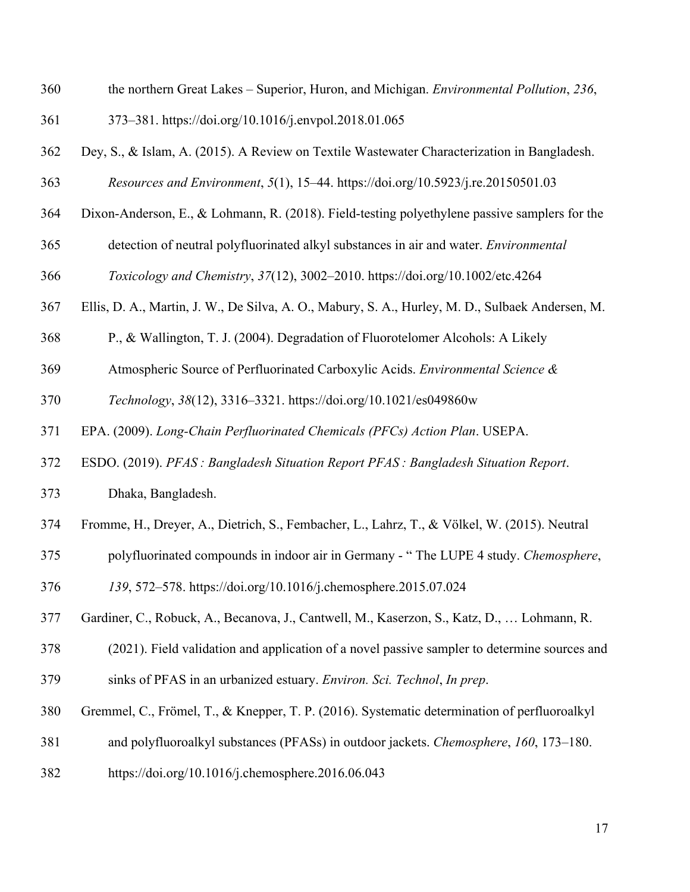| 360 | the northern Great Lakes - Superior, Huron, and Michigan. Environmental Pollution, 236,          |
|-----|--------------------------------------------------------------------------------------------------|
| 361 | 373–381. https://doi.org/10.1016/j.envpol.2018.01.065                                            |
| 362 | Dey, S., & Islam, A. (2015). A Review on Textile Wastewater Characterization in Bangladesh.      |
| 363 | Resources and Environment, 5(1), 15-44. https://doi.org/10.5923/j.re.20150501.03                 |
| 364 | Dixon-Anderson, E., & Lohmann, R. (2018). Field-testing polyethylene passive samplers for the    |
| 365 | detection of neutral polyfluorinated alkyl substances in air and water. Environmental            |
| 366 | Toxicology and Chemistry, 37(12), 3002-2010. https://doi.org/10.1002/etc.4264                    |
| 367 | Ellis, D. A., Martin, J. W., De Silva, A. O., Mabury, S. A., Hurley, M. D., Sulbaek Andersen, M. |
| 368 | P., & Wallington, T. J. (2004). Degradation of Fluorotelomer Alcohols: A Likely                  |
| 369 | Atmospheric Source of Perfluorinated Carboxylic Acids. Environmental Science &                   |
| 370 | Technology, 38(12), 3316-3321. https://doi.org/10.1021/es049860w                                 |
| 371 | EPA. (2009). Long-Chain Perfluorinated Chemicals (PFCs) Action Plan. USEPA.                      |
| 372 | ESDO. (2019). PFAS : Bangladesh Situation Report PFAS : Bangladesh Situation Report.             |
| 373 | Dhaka, Bangladesh.                                                                               |
| 374 | Fromme, H., Dreyer, A., Dietrich, S., Fembacher, L., Lahrz, T., & Völkel, W. (2015). Neutral     |
| 375 | polyfluorinated compounds in indoor air in Germany - "The LUPE 4 study. Chemosphere,             |
| 376 | 139, 572–578. https://doi.org/10.1016/j.chemosphere.2015.07.024                                  |
| 377 | Gardiner, C., Robuck, A., Becanova, J., Cantwell, M., Kaserzon, S., Katz, D.,  Lohmann, R.       |
| 378 | (2021). Field validation and application of a novel passive sampler to determine sources and     |
| 379 | sinks of PFAS in an urbanized estuary. Environ. Sci. Technol, In prep.                           |
| 380 | Gremmel, C., Frömel, T., & Knepper, T. P. (2016). Systematic determination of perfluoroalkyl     |
| 381 | and polyfluoroalkyl substances (PFASs) in outdoor jackets. Chemosphere, 160, 173–180.            |
| 382 | https://doi.org/10.1016/j.chemosphere.2016.06.043                                                |
|     |                                                                                                  |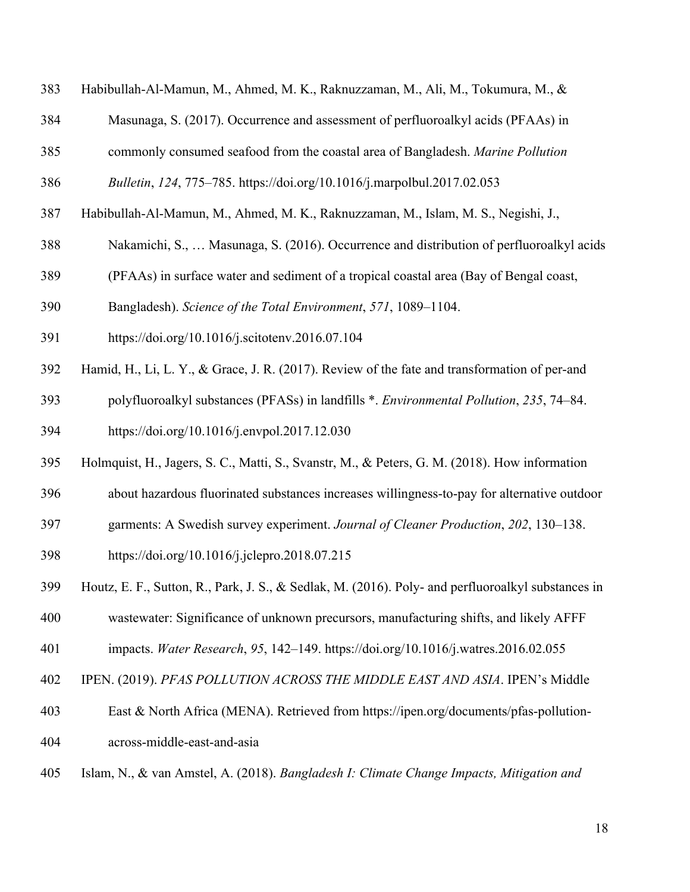- Habibullah-Al-Mamun, M., Ahmed, M. K., Raknuzzaman, M., Ali, M., Tokumura, M., &
- Masunaga, S. (2017). Occurrence and assessment of perfluoroalkyl acids (PFAAs) in
- commonly consumed seafood from the coastal area of Bangladesh. *Marine Pollution*
- *Bulletin*, *124*, 775–785. https://doi.org/10.1016/j.marpolbul.2017.02.053
- Habibullah-Al-Mamun, M., Ahmed, M. K., Raknuzzaman, M., Islam, M. S., Negishi, J.,
- Nakamichi, S., … Masunaga, S. (2016). Occurrence and distribution of perfluoroalkyl acids
- (PFAAs) in surface water and sediment of a tropical coastal area (Bay of Bengal coast,
- Bangladesh). *Science of the Total Environment*, *571*, 1089–1104.
- https://doi.org/10.1016/j.scitotenv.2016.07.104
- Hamid, H., Li, L. Y., & Grace, J. R. (2017). Review of the fate and transformation of per-and
- polyfluoroalkyl substances (PFASs) in landfills \*. *Environmental Pollution*, *235*, 74–84. https://doi.org/10.1016/j.envpol.2017.12.030
- Holmquist, H., Jagers, S. C., Matti, S., Svanstr, M., & Peters, G. M. (2018). How information
- about hazardous fluorinated substances increases willingness-to-pay for alternative outdoor
- garments: A Swedish survey experiment. *Journal of Cleaner Production*, *202*, 130–138.
- https://doi.org/10.1016/j.jclepro.2018.07.215
- Houtz, E. F., Sutton, R., Park, J. S., & Sedlak, M. (2016). Poly- and perfluoroalkyl substances in
- wastewater: Significance of unknown precursors, manufacturing shifts, and likely AFFF
- impacts. *Water Research*, *95*, 142–149. https://doi.org/10.1016/j.watres.2016.02.055
- IPEN. (2019). *PFAS POLLUTION ACROSS THE MIDDLE EAST AND ASIA*. IPEN's Middle
- East & North Africa (MENA). Retrieved from https://ipen.org/documents/pfas-pollution-across-middle-east-and-asia
- Islam, N., & van Amstel, A. (2018). *Bangladesh I: Climate Change Impacts, Mitigation and*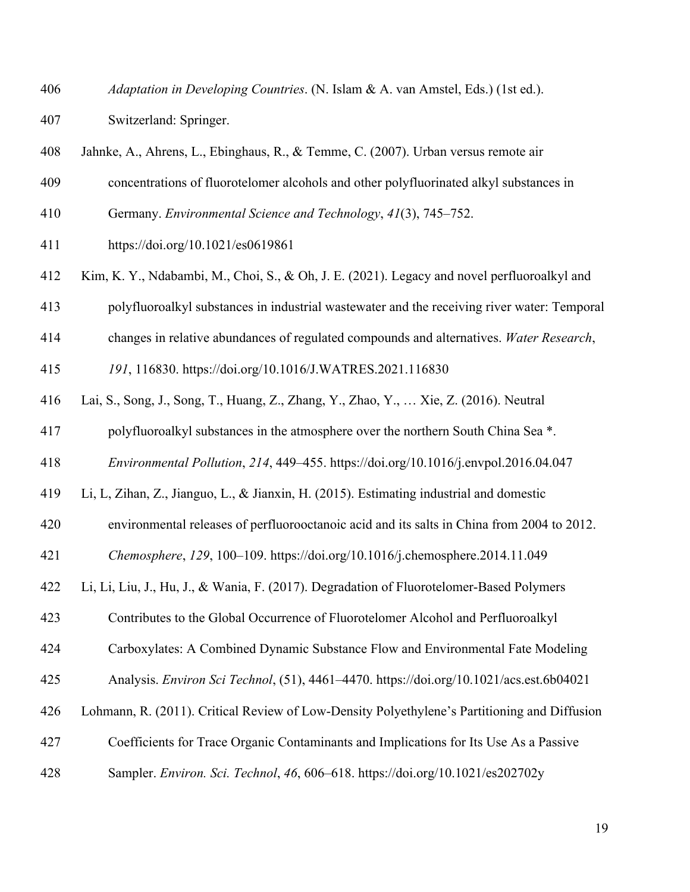- *Adaptation in Developing Countries*. (N. Islam & A. van Amstel, Eds.) (1st ed.). Switzerland: Springer.
- Jahnke, A., Ahrens, L., Ebinghaus, R., & Temme, C. (2007). Urban versus remote air
- concentrations of fluorotelomer alcohols and other polyfluorinated alkyl substances in
- Germany. *Environmental Science and Technology*, *41*(3), 745–752.
- https://doi.org/10.1021/es0619861
- Kim, K. Y., Ndabambi, M., Choi, S., & Oh, J. E. (2021). Legacy and novel perfluoroalkyl and
- polyfluoroalkyl substances in industrial wastewater and the receiving river water: Temporal
- changes in relative abundances of regulated compounds and alternatives. *Water Research*,
- *191*, 116830. https://doi.org/10.1016/J.WATRES.2021.116830
- Lai, S., Song, J., Song, T., Huang, Z., Zhang, Y., Zhao, Y., … Xie, Z. (2016). Neutral
- polyfluoroalkyl substances in the atmosphere over the northern South China Sea \*.
- *Environmental Pollution*, *214*, 449–455. https://doi.org/10.1016/j.envpol.2016.04.047
- Li, L, Zihan, Z., Jianguo, L., & Jianxin, H. (2015). Estimating industrial and domestic
- environmental releases of perfluorooctanoic acid and its salts in China from 2004 to 2012.
- *Chemosphere*, *129*, 100–109. https://doi.org/10.1016/j.chemosphere.2014.11.049
- Li, Li, Liu, J., Hu, J., & Wania, F. (2017). Degradation of Fluorotelomer-Based Polymers
- Contributes to the Global Occurrence of Fluorotelomer Alcohol and Perfluoroalkyl
- Carboxylates: A Combined Dynamic Substance Flow and Environmental Fate Modeling
- Analysis. *Environ Sci Technol*, (51), 4461–4470. https://doi.org/10.1021/acs.est.6b04021
- Lohmann, R. (2011). Critical Review of Low-Density Polyethylene's Partitioning and Diffusion
- Coefficients for Trace Organic Contaminants and Implications for Its Use As a Passive
- Sampler. *Environ. Sci. Technol*, *46*, 606–618. https://doi.org/10.1021/es202702y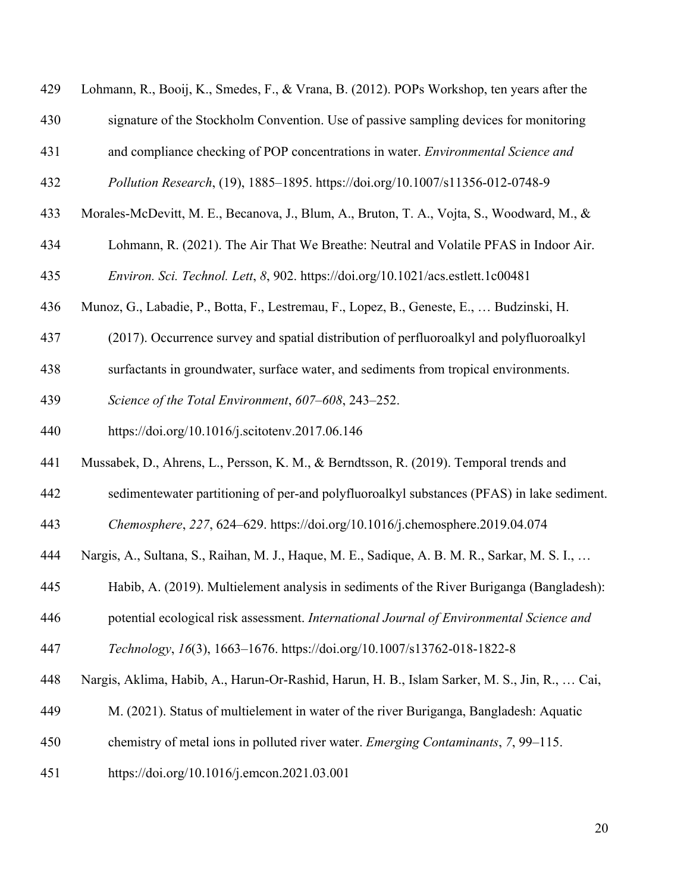| 429 | Lohmann, R., Booij, K., Smedes, F., & Vrana, B. (2012). POPs Workshop, ten years after the    |
|-----|-----------------------------------------------------------------------------------------------|
| 430 | signature of the Stockholm Convention. Use of passive sampling devices for monitoring         |
| 431 | and compliance checking of POP concentrations in water. Environmental Science and             |
| 432 | Pollution Research, (19), 1885-1895. https://doi.org/10.1007/s11356-012-0748-9                |
| 433 | Morales-McDevitt, M. E., Becanova, J., Blum, A., Bruton, T. A., Vojta, S., Woodward, M., &    |
| 434 | Lohmann, R. (2021). The Air That We Breathe: Neutral and Volatile PFAS in Indoor Air.         |
| 435 | Environ. Sci. Technol. Lett, 8, 902. https://doi.org/10.1021/acs.estlett.1c00481              |
| 436 | Munoz, G., Labadie, P., Botta, F., Lestremau, F., Lopez, B., Geneste, E.,  Budzinski, H.      |
| 437 | (2017). Occurrence survey and spatial distribution of perfluoroalkyl and polyfluoroalkyl      |
| 438 | surfactants in groundwater, surface water, and sediments from tropical environments.          |
| 439 | Science of the Total Environment, 607-608, 243-252.                                           |
| 440 | https://doi.org/10.1016/j.scitotenv.2017.06.146                                               |
| 441 | Mussabek, D., Ahrens, L., Persson, K. M., & Berndtsson, R. (2019). Temporal trends and        |
| 442 | sedimentewater partitioning of per-and polyfluoroalkyl substances (PFAS) in lake sediment.    |
| 443 | Chemosphere, 227, 624–629. https://doi.org/10.1016/j.chemosphere.2019.04.074                  |
| 444 | Nargis, A., Sultana, S., Raihan, M. J., Haque, M. E., Sadique, A. B. M. R., Sarkar, M. S. I., |
| 445 | Habib, A. (2019). Multielement analysis in sediments of the River Buriganga (Bangladesh):     |
| 446 | potential ecological risk assessment. International Journal of Environmental Science and      |
| 447 | Technology, 16(3), 1663-1676. https://doi.org/10.1007/s13762-018-1822-8                       |
| 448 | Nargis, Aklima, Habib, A., Harun-Or-Rashid, Harun, H. B., Islam Sarker, M. S., Jin, R.,  Cai, |
| 449 | M. (2021). Status of multielement in water of the river Buriganga, Bangladesh: Aquatic        |
| 450 | chemistry of metal ions in polluted river water. <i>Emerging Contaminants</i> , 7, 99–115.    |
| 451 | https://doi.org/10.1016/j.emcon.2021.03.001                                                   |
|     |                                                                                               |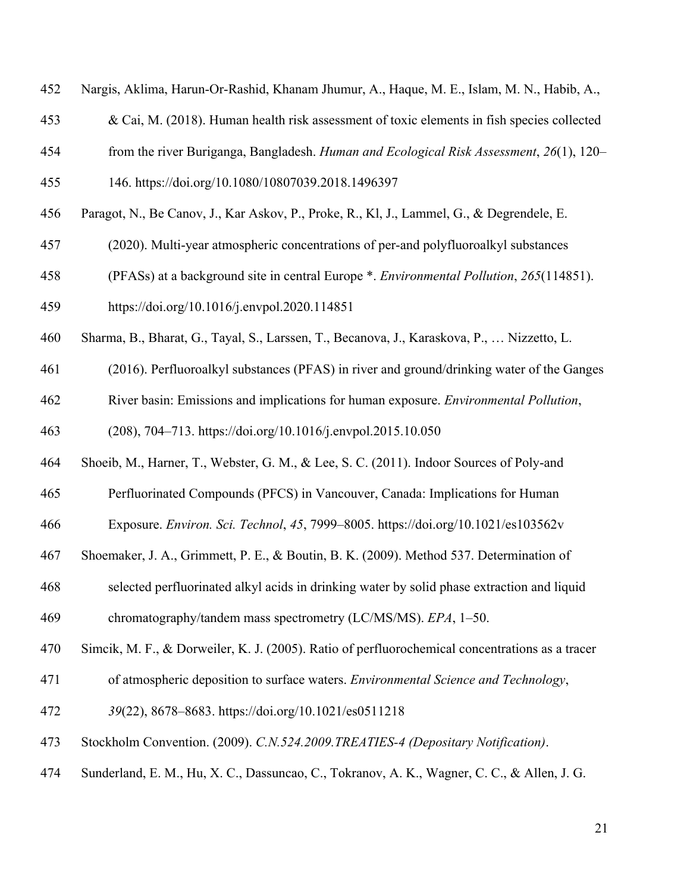- Nargis, Aklima, Harun-Or-Rashid, Khanam Jhumur, A., Haque, M. E., Islam, M. N., Habib, A.,
- & Cai, M. (2018). Human health risk assessment of toxic elements in fish species collected
- from the river Buriganga, Bangladesh. *Human and Ecological Risk Assessment*, *26*(1), 120–
- 146. https://doi.org/10.1080/10807039.2018.1496397
- Paragot, N., Be Canov, J., Kar Askov, P., Proke, R., Kl, J., Lammel, G., & Degrendele, E.
- (2020). Multi-year atmospheric concentrations of per-and polyfluoroalkyl substances
- (PFASs) at a background site in central Europe \*. *Environmental Pollution*, *265*(114851). https://doi.org/10.1016/j.envpol.2020.114851
- Sharma, B., Bharat, G., Tayal, S., Larssen, T., Becanova, J., Karaskova, P., … Nizzetto, L.
- (2016). Perfluoroalkyl substances (PFAS) in river and ground/drinking water of the Ganges
- River basin: Emissions and implications for human exposure. *Environmental Pollution*,
- (208), 704–713. https://doi.org/10.1016/j.envpol.2015.10.050
- Shoeib, M., Harner, T., Webster, G. M., & Lee, S. C. (2011). Indoor Sources of Poly-and
- Perfluorinated Compounds (PFCS) in Vancouver, Canada: Implications for Human

Exposure. *Environ. Sci. Technol*, *45*, 7999–8005. https://doi.org/10.1021/es103562v

- Shoemaker, J. A., Grimmett, P. E., & Boutin, B. K. (2009). Method 537. Determination of
- selected perfluorinated alkyl acids in drinking water by solid phase extraction and liquid
- chromatography/tandem mass spectrometry (LC/MS/MS). *EPA*, 1–50.
- Simcik, M. F., & Dorweiler, K. J. (2005). Ratio of perfluorochemical concentrations as a tracer
- of atmospheric deposition to surface waters. *Environmental Science and Technology*,
- *39*(22), 8678–8683. https://doi.org/10.1021/es0511218
- Stockholm Convention. (2009). *C.N.524.2009.TREATIES-4 (Depositary Notification)*.
- Sunderland, E. M., Hu, X. C., Dassuncao, C., Tokranov, A. K., Wagner, C. C., & Allen, J. G.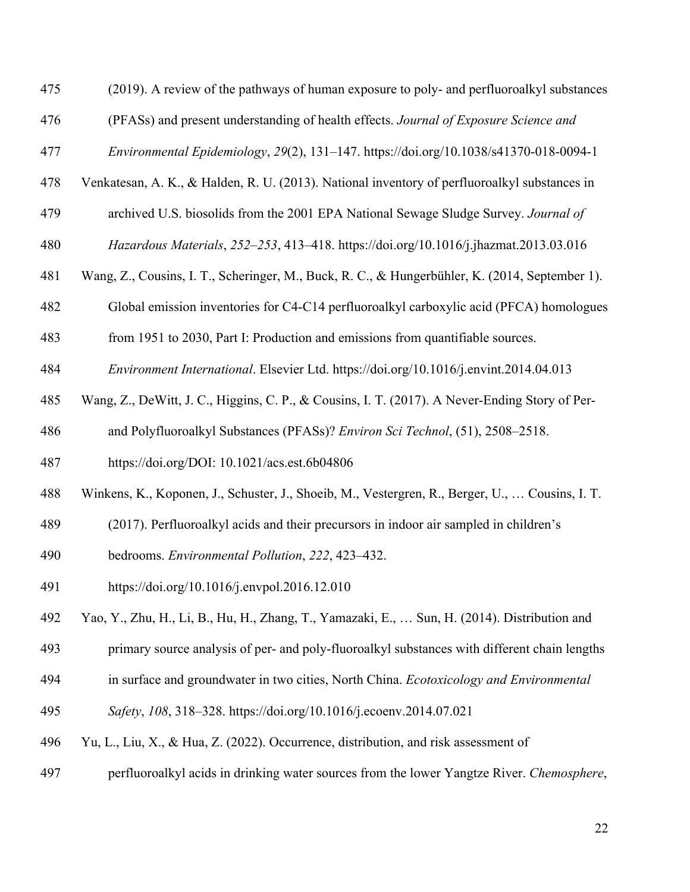- (2019). A review of the pathways of human exposure to poly- and perfluoroalkyl substances
- (PFASs) and present understanding of health effects. *Journal of Exposure Science and*
- *Environmental Epidemiology*, *29*(2), 131–147. https://doi.org/10.1038/s41370-018-0094-1
- Venkatesan, A. K., & Halden, R. U. (2013). National inventory of perfluoroalkyl substances in
- archived U.S. biosolids from the 2001 EPA National Sewage Sludge Survey. *Journal of*
- *Hazardous Materials*, *252*–*253*, 413–418. https://doi.org/10.1016/j.jhazmat.2013.03.016
- Wang, Z., Cousins, I. T., Scheringer, M., Buck, R. C., & Hungerbühler, K. (2014, September 1).
- Global emission inventories for C4-C14 perfluoroalkyl carboxylic acid (PFCA) homologues
- from 1951 to 2030, Part I: Production and emissions from quantifiable sources.
- *Environment International*. Elsevier Ltd. https://doi.org/10.1016/j.envint.2014.04.013
- Wang, Z., DeWitt, J. C., Higgins, C. P., & Cousins, I. T. (2017). A Never-Ending Story of Per-
- and Polyfluoroalkyl Substances (PFASs)? *Environ Sci Technol*, (51), 2508–2518.
- https://doi.org/DOI: 10.1021/acs.est.6b04806
- Winkens, K., Koponen, J., Schuster, J., Shoeib, M., Vestergren, R., Berger, U., … Cousins, I. T.
- (2017). Perfluoroalkyl acids and their precursors in indoor air sampled in children's
- bedrooms. *Environmental Pollution*, *222*, 423–432.
- https://doi.org/10.1016/j.envpol.2016.12.010
- Yao, Y., Zhu, H., Li, B., Hu, H., Zhang, T., Yamazaki, E., … Sun, H. (2014). Distribution and
- primary source analysis of per- and poly-fluoroalkyl substances with different chain lengths
- in surface and groundwater in two cities, North China. *Ecotoxicology and Environmental*
- *Safety*, *108*, 318–328. https://doi.org/10.1016/j.ecoenv.2014.07.021
- Yu, L., Liu, X., & Hua, Z. (2022). Occurrence, distribution, and risk assessment of
- perfluoroalkyl acids in drinking water sources from the lower Yangtze River. *Chemosphere*,